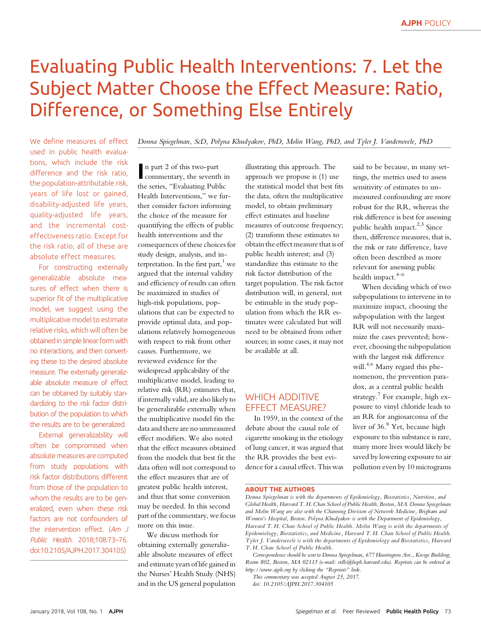# Evaluating Public Health Interventions: 7. Let the Subject of Samething Else Entirely Difference, or Something Else Entirely

We define measures of effect used in public health evaluations, which include the risk difference and the risk ratio, the population-attributable risk, years of life lost or gained, disability-adjusted life years, quality-adjusted life years, and the incremental costeffectiveness ratio. Except for the risk ratio, all of these are absolute effect measures.

For constructing externally generalizable absolute measures of effect when there is superior fit of the multiplicative model, we suggest using the multiplicative model to estimate relative risks, which will often be obtained in simple linear form with no interactions, and then converting these to the desired absolute measure. The externally generalizable absolute measure of effect can be obtained by suitably standardizing to the risk factor distribution of the population to which the results are to be generalized.

External generalizability will often be compromised when absolute measures are computed from study populations with risk factor distributions different from those of the population to whom the results are to be generalized, even when these risk factors are not confounders of the intervention effect. (Am J Public Health. 2018;108:73–76. doi:10.2105/AJPH.2017.304105)

Donna Spiegelman, ScD, Polyna Khudyakov, PhD, Molin Wang, PhD, and Tyler J. Vanderweele, PhD

I n part 2 of this two-part commentary, the seventh in the series, "Evaluating Public Health Interventions," we further consider factors informing the choice of the measure for quantifying the effects of public health interventions and the consequences of these choices for study design, analysis, and interpretation. In the first part, $<sup>1</sup>$  we</sup> argued that the internal validity and efficiency of results can often be maximized in studies of high-risk populations, populations that can be expected to provide optimal data, and populations relatively homogeneous with respect to risk from other causes. Furthermore, we reviewed evidence for the widespread applicability of the multiplicative model, leading to relative risk (RR) estimates that, if internally valid, are also likely to be generalizable externally when the multiplicative model fits the data and there are no unmeasured effect modifiers. We also noted that the effect measures obtained from the models that best fit the data often will not correspond to the effect measures that are of greatest public health interest, and thus that some conversion may be needed. In this second part of the commentary, we focus more on this issue.

We discuss methods for obtaining externally generalizable absolute measures of effect and estimate years of life gained in the Nurses' Health Study (NHS) and in the US general population

illustrating this approach. The approach we propose is (1) use the statistical model that best fits the data, often the multiplicative model, to obtain preliminary effect estimates and baseline measures of outcome frequency; (2) transform these estimates to obtain the effect measure that is of public health interest; and (3) standardize this estimate to the risk factor distribution of the target population. The risk factor distribution will, in general, not be estimable in the study population from which the RR estimates were calculated but will need to be obtained from other sources; in some cases, it may not be available at all.

### WHICH ADDITIVE EFFECT MEASURE?

In 1959, in the context of the debate about the causal role of cigarette smoking in the etiology of lung cancer, it was argued that the RR provides the best evidence for a causal effect. This was

said to be because, in many settings, the metrics used to assess sensitivity of estimates to unmeasured confounding are more robust for the RR, whereas the risk difference is best for assessing public health impact.<sup>2,3</sup> Since then, difference measures, that is, the risk or rate difference, have often been described as more relevant for assessing public health impact.<sup>4–6</sup>

When deciding which of two subpopulations to intervene in to maximize impact, choosing the subpopulation with the largest RR will not necessarily maximize the cases prevented; however, choosing the subpopulation with the largest risk difference will.<sup>4,6</sup> Many regard this phenomenon, the prevention paradox, as a central public health strategy.<sup>7</sup> For example, high exposure to vinyl chloride leads to an RR for angiosarcoma of the liver of 36.8 Yet, because high exposure to this substance is rare, many more lives would likely be saved by lowering exposure to air pollution even by 10 micrograms

#### ABOUT THE AUTHORS

Donna Spiegelman is with the departments of Epidemiology, Biostatistics, Nutrition, and Global Health, Harvard T. H. Chan School of Public Health, Boston, MA. Donna Spiegelman and Molin Wang are also with the Channing Division of Network Medicine, Brigham and Women's Hospital, Boston. Polyna Khudyakov is with the Department of Epidemiology, Harvard T. H. Chan School of Public Health. Molin Wang is with the departments of Epidemiology, Biostatistics, and Medicine, Harvard T. H. Chan School of Public Health. Tyler J. Vanderweele is with the departments of Epidemiology and Biostatistics, Harvard T. H. Chan School of Public Health.

Correspondence should be sent to Donna Spiegelman, 677 Huntington Ave., Kresge Building, Room 802, Boston, MA 02115 (e-mail: [stdls@hsph.harvard.edu](mailto:stdls@hsph.harvard.edu)). Reprints can be ordered at <http://www.ajph.org> by clicking the "Reprints" link.

This commentary was accepted August 25, 2017. doi: 10.2105/AJPH.2017.304105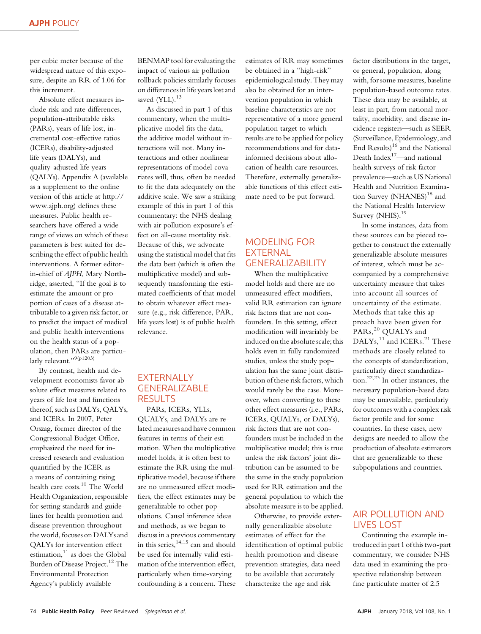per cubic meter because of the widespread nature of this exposure, despite an RR of 1.06 for this increment.

Absolute effect measures include risk and rate differences, population-attributable risks (PARs), years of life lost, incremental cost-effective ratios (ICERs), disability-adjusted life years (DALYs), and quality-adjusted life years (QALYs). Appendix A (available as a supplement to the online version of this article at [http://](http://www.ajph.org) [www.ajph.org\)](http://www.ajph.org) defines these measures. Public health researchers have offered a wide range of views on which of these parameters is best suited for describing the effect of public health interventions. A former editorin-chief of AJPH, Mary Northridge, asserted, "If the goal is to estimate the amount or proportion of cases of a disease attributable to a given risk factor, or to predict the impact of medical and public health interventions on the health status of a population, then PARs are particularly relevant."<sup>9(p1203)</sup>

By contrast, health and development economists favor absolute effect measures related to years of life lost and functions thereof, such as DALYs, QALYs, and ICERs. In 2007, Peter Orszag, former director of the Congressional Budget Office, emphasized the need for increased research and evaluation quantified by the ICER as a means of containing rising health care costs.<sup>10</sup> The World Health Organization, responsible for setting standards and guidelines for health promotion and disease prevention throughout the world, focuses on DALYs and QALYs for intervention effect estimation, $11$  as does the Global Burden of Disease Project.<sup>12</sup> The Environmental Protection Agency's publicly available

BENMAP tool for evaluating the impact of various air pollution rollback policies similarly focuses on differences in life years lost and saved (YLL).<sup>13</sup>

As discussed in part 1 of this commentary, when the multiplicative model fits the data, the additive model without interactions will not. Many interactions and other nonlinear representations of model covariates will, thus, often be needed to fit the data adequately on the additive scale. We saw a striking example of this in part 1 of this commentary: the NHS dealing with air pollution exposure's effect on all-cause mortality risk. Because of this, we advocate using the statistical model that fits the data best (which is often the multiplicative model) and subsequently transforming the estimated coefficients of that model to obtain whatever effect measure (e.g., risk difference, PAR, life years lost) is of public health relevance.

## EXTERNALLY GENERALIZABLE **RESULTS**

PARs, ICERs, YLLs, QUALYs, and DALYs are related measures and have common features in terms of their estimation. When the multiplicative model holds, it is often best to estimate the RR using the multiplicative model, because if there are no unmeasured effect modifiers, the effect estimates may be generalizable to other populations. Causal inference ideas and methods, as we began to discuss in a previous commentary in this series,<sup>14,15</sup> can and should be used for internally valid estimation of the intervention effect, particularly when time-varying confounding is a concern. These

estimates of RR may sometimes be obtained in a "high-risk" epidemiological study. They may also be obtained for an intervention population in which baseline characteristics are not representative of a more general population target to which results are to be applied for policy recommendations and for datainformed decisions about allocation of health care resources. Therefore, externally generalizable functions of this effect estimate need to be put forward.

## MODELING FOR EXTERNAL GENERALIZABILITY

When the multiplicative model holds and there are no unmeasured effect modifiers, valid RR estimation can ignore risk factors that are not confounders. In this setting, effect modification will invariably be induced on the absolute scale; this holds even in fully randomized studies, unless the study population has the same joint distribution of these risk factors, which would rarely be the case. Moreover, when converting to these other effect measures (i.e., PARs, ICERs, QUALYs, or DALYs), risk factors that are not confounders must be included in the multiplicative model; this is true unless the risk factors' joint distribution can be assumed to be the same in the study population used for RR estimation and the general population to which the absolute measure is to be applied.

Otherwise, to provide externally generalizable absolute estimates of effect for the identification of optimal public health promotion and disease prevention strategies, data need to be available that accurately characterize the age and risk

factor distributions in the target, or general, population, along with, for some measures, baseline population-based outcome rates. These data may be available, at least in part, from national mortality, morbidity, and disease incidence registers—such as SEER (Surveillance, Epidemiology, and End Results)16 and the National Death Index<sup>17</sup>—and national health surveys of risk factor prevalence—such as US National Health and Nutrition Examination Survey (NHANES)<sup>18</sup> and the National Health Interview Survey (NHIS).<sup>19</sup>

In some instances, data from these sources can be pieced together to construct the externally generalizable absolute measures of interest, which must be accompanied by a comprehensive uncertainty measure that takes into account all sources of uncertainty of the estimate. Methods that take this approach have been given for PARs,<sup>20</sup> QUALYs and DALYs,<sup>11</sup> and ICERs.<sup>21</sup> These methods are closely related to the concepts of standardization, particularly direct standardiza- $\frac{1}{22,23}$  In other instances, the necessary population-based data may be unavailable, particularly for outcomes with a complex risk factor profile and for some countries. In these cases, new designs are needed to allow the production of absolute estimators that are generalizable to these subpopulations and countries.

## AIR POLLUTION AND LIVES LOST

Continuing the example introduced in part 1 of this two-part commentary, we consider NHS data used in examining the prospective relationship between fine particulate matter of 2.5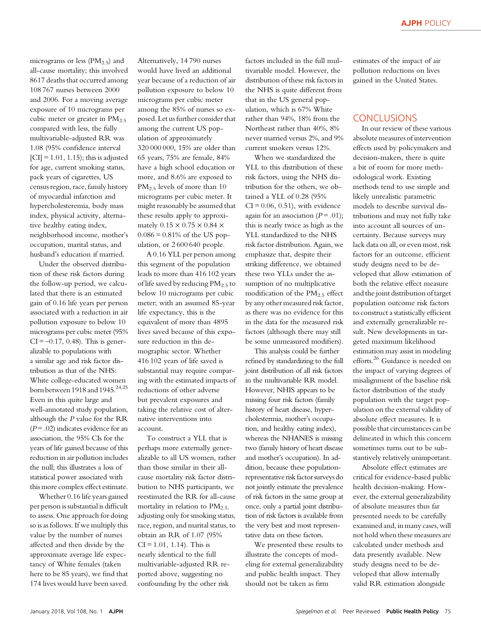micrograms or less  $(PM_{2.5})$  and all-cause mortality; this involved 8617 deaths that occurred among 108 767 nurses between 2000 and 2006. For a moving average exposure of 10 micrograms per cubic meter or greater in  $PM_{2.5}$ compared with less, the fully multivariable-adjusted RR was 1.08 (95% confidence interval  $[CI] = 1.01, 1.15$ ; this is adjusted for age, current smoking status, pack years of cigarettes, US census region, race, family history of myocardial infarction and hypercholesteremia, body mass index, physical activity, alternative healthy eating index, neighborhood income, mother's occupation, marital status, and husband's education if married.

Under the observed distribution of these risk factors during the follow-up period, we calculated that there is an estimated gain of 0.16 life years per person associated with a reduction in air pollution exposure to below 10 micrograms per cubic meter (95%  $CI = -0.17, 0.48$ . This is generalizable to populations with a similar age and risk factor distribution as that of the NHS: White college-educated women born between 1918 and 1945. $24,25$ Even in this quite large and well-annotated study population, although the P value for the RR  $(P=.02)$  indicates evidence for an association, the 95% CIs for the years of life gained because of this reduction in air pollution includes the null; this illustrates a loss of statistical power associated with this more complex effect estimate.

Whether 0.16 life years gained per person is substantial is difficult to assess. One approach for doing so is as follows. If we multiply this value by the number of nurses affected and then divide by the approximate average life expectancy of White females (taken here to be 85 years), we find that 174 lives would have been saved.

Alternatively, 14 790 nurses would have lived an additional year because of a reduction of air pollution exposure to below 10 micrograms per cubic meter among the 85% of nurses so exposed. Let us further consider that among the current US population of approximately 320 000 000, 15% are older than 65 years, 75% are female, 84% have a high school education or more, and 8.6% are exposed to PM2.5 levels of more than 10 micrograms per cubic meter. It might reasonably be assumed that these results apply to approximately  $0.15 \times 0.75 \times 0.84 \times$  $0.086 = 0.81\%$  of the US population, or 2 600 640 people.

A 0.16 YLL per person among this segment of the population leads to more than 416 102 years of life saved by reducing  $PM_{2.5}$  to below 10 micrograms per cubic meter; with an assumed 85-year life expectancy, this is the equivalent of more than 4895 lives saved because of this exposure reduction in this demographic sector. Whether 416 102 years of life saved is substantial may require comparing with the estimated impacts of reductions of other adverse but prevalent exposures and taking the relative cost of alternative interventions into account.

To construct a YLL that is perhaps more externally generalizable to all US women, rather than those similar in their allcause mortality risk factor distribution to NHS participants, we reestimated the RR for all-cause mortality in relation to  $PM_{2.5}$ . adjusting only for smoking status, race, region, and marital status, to obtain an RR of 1.07 (95%  $CI = 1.01, 1.14$ . This is nearly identical to the full multivariable-adjusted RR reported above, suggesting no confounding by the other risk

factors included in the full multivariable model. However, the distribution of these risk factors in the NHS is quite different from that in the US general population, which is 67% White rather than 94%, 18% from the Northeast rather than 40%, 8% never married versus 2%, and 9% current smokers versus 12%.

When we standardized the YLL to this distribution of these risk factors, using the NHS distribution for the others, we obtained a YLL of 0.28 (95%  $CI = 0.06, 0.51$ , with evidence again for an association ( $P = .01$ ); this is nearly twice as high as the YLL standardized to the NHS risk factor distribution. Again, we emphasize that, despite their striking difference, we obtained these two YLLs under the assumption of no multiplicative modification of the  $PM<sub>2.5</sub>$  effect by any other measured risk factor, as there was no evidence for this in the data for the measured risk factors (although there may still be some unmeasured modifiers).

This analysis could be further refined by standardizing to the full joint distribution of all risk factors in the multivariable RR model. However, NHIS appears to be missing four risk factors (family history of heart disease, hypercholestermia, mother's occupation, and healthy eating index), whereas the NHANES is missing two (family history of heart disease and mother's occupation). In addition, because these populationrepresentative risk factor surveys do not jointly estimate the prevalence of risk factors in the same group at once, only a partial joint distribution of risk factors is available from the very best and most representative data on these factors.

We presented these results to illustrate the concepts of modeling for external generalizability and public health impact. They should not be taken as firm

estimates of the impact of air pollution reductions on lives gained in the United States.

#### **CONCLUSIONS**

In our review of these various absolute measures of intervention effects used by policymakers and decision-makers, there is quite a bit of room for more methodological work. Existing methods tend to use simple and likely unrealistic parametric models to describe survival distributions and may not fully take into account all sources of uncertainty. Because surveys may lack data on all, or even most, risk factors for an outcome, efficient study designs need to be developed that allow estimation of both the relative effect measure and the joint distribution of target population outcome risk factors to construct a statistically efficient and externally generalizable result. New developments in targeted maximum likelihood estimation may assist in modeling efforts.<sup>26</sup> Guidance is needed on the impact of varying degrees of misalignment of the baseline risk factor distribution of the study population with the target population on the external validity of absolute effect measures. It is possible that circumstances can be delineated in which this concern sometimes turns out to be substantively relatively unimportant.

Absolute effect estimates are critical for evidence-based public health decision-making. However, the external generalizability of absolute measures thus far presented needs to be carefully examined and, in many cases, will not hold when these measures are calculated under methods and data presently available. New study designs need to be developed that allow internally valid RR estimation alongside